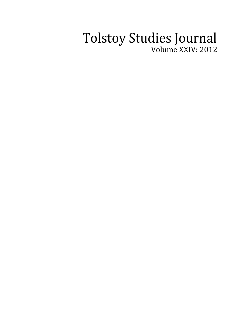## Tolstoy Studies Journal Volume XXIV: 2012